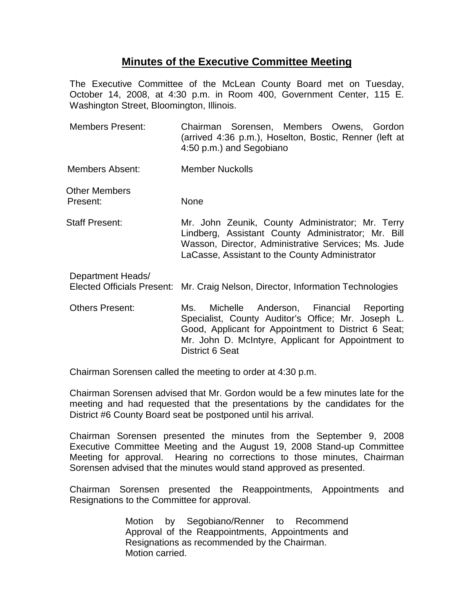## **Minutes of the Executive Committee Meeting**

The Executive Committee of the McLean County Board met on Tuesday, October 14, 2008, at 4:30 p.m. in Room 400, Government Center, 115 E. Washington Street, Bloomington, Illinois.

- Members Present: Chairman Sorensen, Members Owens, Gordon (arrived 4:36 p.m.), Hoselton, Bostic, Renner (left at 4:50 p.m.) and Segobiano
- Members Absent: Member Nuckolls

Other Members Present: None

- Staff Present: Mr. John Zeunik, County Administrator; Mr. Terry Lindberg, Assistant County Administrator; Mr. Bill Wasson, Director, Administrative Services; Ms. Jude LaCasse, Assistant to the County Administrator
	- Department Heads/ Elected Officials Present: Mr. Craig Nelson, Director, Information Technologies
	- Others Present: Ms. Michelle Anderson, Financial Reporting Specialist, County Auditor's Office; Mr. Joseph L. Good, Applicant for Appointment to District 6 Seat; Mr. John D. McIntyre, Applicant for Appointment to District 6 Seat

Chairman Sorensen called the meeting to order at 4:30 p.m.

Chairman Sorensen advised that Mr. Gordon would be a few minutes late for the meeting and had requested that the presentations by the candidates for the District #6 County Board seat be postponed until his arrival.

Chairman Sorensen presented the minutes from the September 9, 2008 Executive Committee Meeting and the August 19, 2008 Stand-up Committee Meeting for approval. Hearing no corrections to those minutes, Chairman Sorensen advised that the minutes would stand approved as presented.

Chairman Sorensen presented the Reappointments, Appointments and Resignations to the Committee for approval.

> Motion by Segobiano/Renner to Recommend Approval of the Reappointments, Appointments and Resignations as recommended by the Chairman. Motion carried.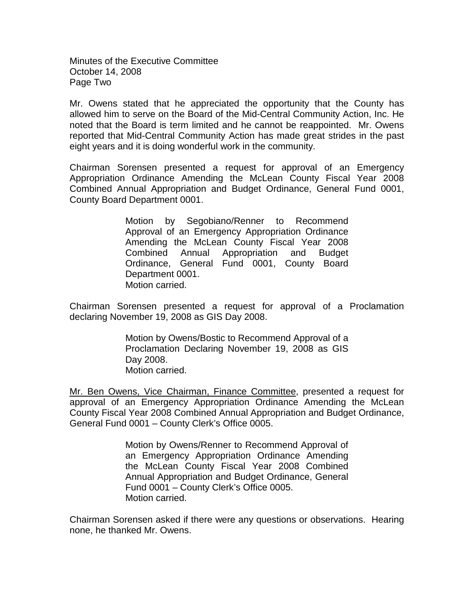Minutes of the Executive Committee October 14, 2008 Page Two

Mr. Owens stated that he appreciated the opportunity that the County has allowed him to serve on the Board of the Mid-Central Community Action, Inc. He noted that the Board is term limited and he cannot be reappointed. Mr. Owens reported that Mid-Central Community Action has made great strides in the past eight years and it is doing wonderful work in the community.

Chairman Sorensen presented a request for approval of an Emergency Appropriation Ordinance Amending the McLean County Fiscal Year 2008 Combined Annual Appropriation and Budget Ordinance, General Fund 0001, County Board Department 0001.

> Motion by Segobiano/Renner to Recommend Approval of an Emergency Appropriation Ordinance Amending the McLean County Fiscal Year 2008 Combined Annual Appropriation and Budget Ordinance, General Fund 0001, County Board Department 0001. Motion carried.

Chairman Sorensen presented a request for approval of a Proclamation declaring November 19, 2008 as GIS Day 2008.

> Motion by Owens/Bostic to Recommend Approval of a Proclamation Declaring November 19, 2008 as GIS Day 2008. Motion carried.

Mr. Ben Owens, Vice Chairman, Finance Committee, presented a request for approval of an Emergency Appropriation Ordinance Amending the McLean County Fiscal Year 2008 Combined Annual Appropriation and Budget Ordinance, General Fund 0001 – County Clerk's Office 0005.

> Motion by Owens/Renner to Recommend Approval of an Emergency Appropriation Ordinance Amending the McLean County Fiscal Year 2008 Combined Annual Appropriation and Budget Ordinance, General Fund 0001 – County Clerk's Office 0005. Motion carried.

Chairman Sorensen asked if there were any questions or observations. Hearing none, he thanked Mr. Owens.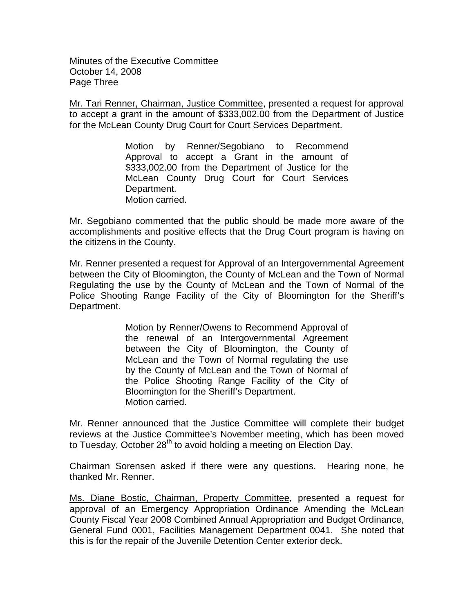Minutes of the Executive Committee October 14, 2008 Page Three

Mr. Tari Renner, Chairman, Justice Committee, presented a request for approval to accept a grant in the amount of \$333,002.00 from the Department of Justice for the McLean County Drug Court for Court Services Department.

> Motion by Renner/Segobiano to Recommend Approval to accept a Grant in the amount of \$333,002.00 from the Department of Justice for the McLean County Drug Court for Court Services Department. Motion carried.

Mr. Segobiano commented that the public should be made more aware of the accomplishments and positive effects that the Drug Court program is having on the citizens in the County.

Mr. Renner presented a request for Approval of an Intergovernmental Agreement between the City of Bloomington, the County of McLean and the Town of Normal Regulating the use by the County of McLean and the Town of Normal of the Police Shooting Range Facility of the City of Bloomington for the Sheriff's Department.

> Motion by Renner/Owens to Recommend Approval of the renewal of an Intergovernmental Agreement between the City of Bloomington, the County of McLean and the Town of Normal regulating the use by the County of McLean and the Town of Normal of the Police Shooting Range Facility of the City of Bloomington for the Sheriff's Department. Motion carried.

Mr. Renner announced that the Justice Committee will complete their budget reviews at the Justice Committee's November meeting, which has been moved to Tuesday, October  $28<sup>th</sup>$  to avoid holding a meeting on Election Day.

Chairman Sorensen asked if there were any questions. Hearing none, he thanked Mr. Renner.

Ms. Diane Bostic, Chairman, Property Committee, presented a request for approval of an Emergency Appropriation Ordinance Amending the McLean County Fiscal Year 2008 Combined Annual Appropriation and Budget Ordinance, General Fund 0001, Facilities Management Department 0041. She noted that this is for the repair of the Juvenile Detention Center exterior deck.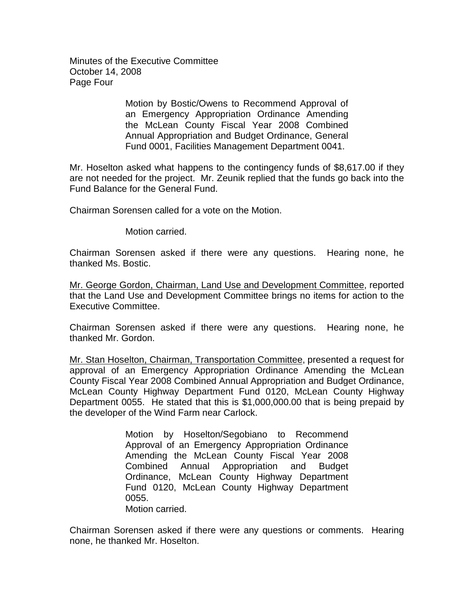Minutes of the Executive Committee October 14, 2008 Page Four

> Motion by Bostic/Owens to Recommend Approval of an Emergency Appropriation Ordinance Amending the McLean County Fiscal Year 2008 Combined Annual Appropriation and Budget Ordinance, General Fund 0001, Facilities Management Department 0041.

Mr. Hoselton asked what happens to the contingency funds of \$8,617.00 if they are not needed for the project. Mr. Zeunik replied that the funds go back into the Fund Balance for the General Fund.

Chairman Sorensen called for a vote on the Motion.

Motion carried.

Chairman Sorensen asked if there were any questions. Hearing none, he thanked Ms. Bostic.

Mr. George Gordon, Chairman, Land Use and Development Committee, reported that the Land Use and Development Committee brings no items for action to the Executive Committee.

Chairman Sorensen asked if there were any questions. Hearing none, he thanked Mr. Gordon.

Mr. Stan Hoselton, Chairman, Transportation Committee, presented a request for approval of an Emergency Appropriation Ordinance Amending the McLean County Fiscal Year 2008 Combined Annual Appropriation and Budget Ordinance, McLean County Highway Department Fund 0120, McLean County Highway Department 0055. He stated that this is \$1,000,000.00 that is being prepaid by the developer of the Wind Farm near Carlock.

> Motion by Hoselton/Segobiano to Recommend Approval of an Emergency Appropriation Ordinance Amending the McLean County Fiscal Year 2008 Combined Annual Appropriation and Budget Ordinance, McLean County Highway Department Fund 0120, McLean County Highway Department 0055. Motion carried.

Chairman Sorensen asked if there were any questions or comments. Hearing none, he thanked Mr. Hoselton.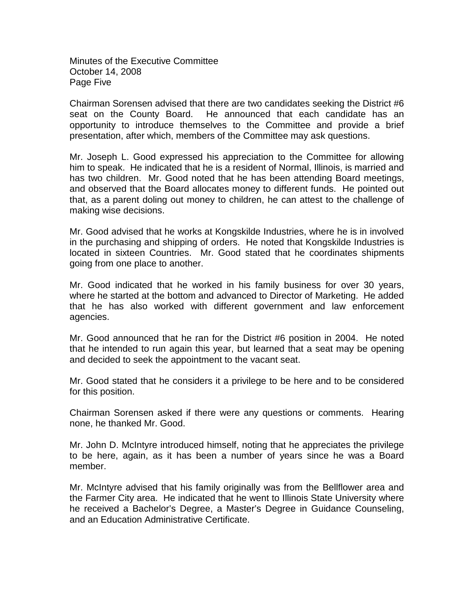Minutes of the Executive Committee October 14, 2008 Page Five

Chairman Sorensen advised that there are two candidates seeking the District #6 seat on the County Board. He announced that each candidate has an opportunity to introduce themselves to the Committee and provide a brief presentation, after which, members of the Committee may ask questions.

Mr. Joseph L. Good expressed his appreciation to the Committee for allowing him to speak. He indicated that he is a resident of Normal, Illinois, is married and has two children. Mr. Good noted that he has been attending Board meetings, and observed that the Board allocates money to different funds. He pointed out that, as a parent doling out money to children, he can attest to the challenge of making wise decisions.

Mr. Good advised that he works at Kongskilde Industries, where he is in involved in the purchasing and shipping of orders. He noted that Kongskilde Industries is located in sixteen Countries. Mr. Good stated that he coordinates shipments going from one place to another.

Mr. Good indicated that he worked in his family business for over 30 years, where he started at the bottom and advanced to Director of Marketing. He added that he has also worked with different government and law enforcement agencies.

Mr. Good announced that he ran for the District #6 position in 2004. He noted that he intended to run again this year, but learned that a seat may be opening and decided to seek the appointment to the vacant seat.

Mr. Good stated that he considers it a privilege to be here and to be considered for this position.

Chairman Sorensen asked if there were any questions or comments. Hearing none, he thanked Mr. Good.

Mr. John D. McIntyre introduced himself, noting that he appreciates the privilege to be here, again, as it has been a number of years since he was a Board member.

Mr. McIntyre advised that his family originally was from the Bellflower area and the Farmer City area. He indicated that he went to Illinois State University where he received a Bachelor's Degree, a Master's Degree in Guidance Counseling, and an Education Administrative Certificate.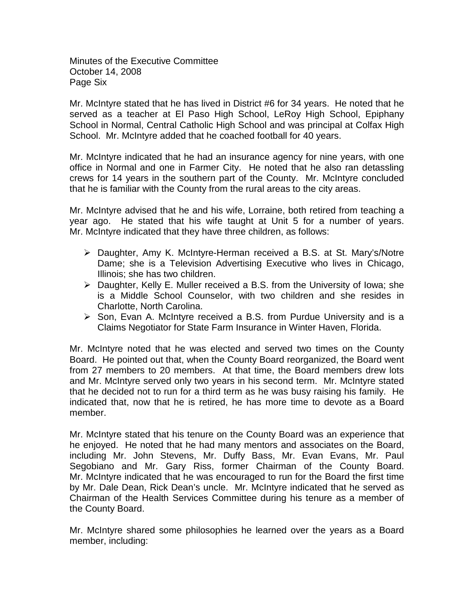Minutes of the Executive Committee October 14, 2008 Page Six

Mr. McIntyre stated that he has lived in District #6 for 34 years. He noted that he served as a teacher at El Paso High School, LeRoy High School, Epiphany School in Normal, Central Catholic High School and was principal at Colfax High School. Mr. McIntyre added that he coached football for 40 years.

Mr. McIntyre indicated that he had an insurance agency for nine years, with one office in Normal and one in Farmer City. He noted that he also ran detassling crews for 14 years in the southern part of the County. Mr. McIntyre concluded that he is familiar with the County from the rural areas to the city areas.

Mr. McIntyre advised that he and his wife, Lorraine, both retired from teaching a year ago. He stated that his wife taught at Unit 5 for a number of years. Mr. McIntyre indicated that they have three children, as follows:

- Daughter, Amy K. McIntyre-Herman received a B.S. at St. Mary's/Notre Dame; she is a Television Advertising Executive who lives in Chicago, Illinois; she has two children.
- $\triangleright$  Daughter, Kelly E. Muller received a B.S. from the University of Iowa; she is a Middle School Counselor, with two children and she resides in Charlotte, North Carolina.
- $\triangleright$  Son, Evan A. McIntyre received a B.S. from Purdue University and is a Claims Negotiator for State Farm Insurance in Winter Haven, Florida.

Mr. McIntyre noted that he was elected and served two times on the County Board. He pointed out that, when the County Board reorganized, the Board went from 27 members to 20 members. At that time, the Board members drew lots and Mr. McIntyre served only two years in his second term. Mr. McIntyre stated that he decided not to run for a third term as he was busy raising his family. He indicated that, now that he is retired, he has more time to devote as a Board member.

Mr. McIntyre stated that his tenure on the County Board was an experience that he enjoyed. He noted that he had many mentors and associates on the Board, including Mr. John Stevens, Mr. Duffy Bass, Mr. Evan Evans, Mr. Paul Segobiano and Mr. Gary Riss, former Chairman of the County Board. Mr. McIntyre indicated that he was encouraged to run for the Board the first time by Mr. Dale Dean, Rick Dean's uncle. Mr. McIntyre indicated that he served as Chairman of the Health Services Committee during his tenure as a member of the County Board.

Mr. McIntyre shared some philosophies he learned over the years as a Board member, including: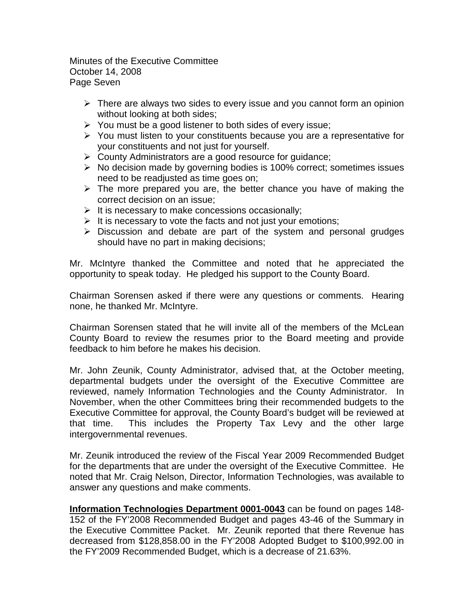Minutes of the Executive Committee October 14, 2008 Page Seven

- $\triangleright$  There are always two sides to every issue and you cannot form an opinion without looking at both sides;
- $\triangleright$  You must be a good listener to both sides of every issue;
- $\triangleright$  You must listen to your constituents because you are a representative for your constituents and not just for yourself.
- County Administrators are a good resource for guidance;
- $\triangleright$  No decision made by governing bodies is 100% correct; sometimes issues need to be readjusted as time goes on;
- $\triangleright$  The more prepared you are, the better chance you have of making the correct decision on an issue;
- $\triangleright$  It is necessary to make concessions occasionally;
- $\triangleright$  It is necessary to vote the facts and not just your emotions;
- $\triangleright$  Discussion and debate are part of the system and personal grudges should have no part in making decisions;

Mr. McIntyre thanked the Committee and noted that he appreciated the opportunity to speak today. He pledged his support to the County Board.

Chairman Sorensen asked if there were any questions or comments. Hearing none, he thanked Mr. McIntyre.

Chairman Sorensen stated that he will invite all of the members of the McLean County Board to review the resumes prior to the Board meeting and provide feedback to him before he makes his decision.

Mr. John Zeunik, County Administrator, advised that, at the October meeting, departmental budgets under the oversight of the Executive Committee are reviewed, namely Information Technologies and the County Administrator. In November, when the other Committees bring their recommended budgets to the Executive Committee for approval, the County Board's budget will be reviewed at that time. This includes the Property Tax Levy and the other large intergovernmental revenues.

Mr. Zeunik introduced the review of the Fiscal Year 2009 Recommended Budget for the departments that are under the oversight of the Executive Committee. He noted that Mr. Craig Nelson, Director, Information Technologies, was available to answer any questions and make comments.

**Information Technologies Department 0001-0043** can be found on pages 148- 152 of the FY'2008 Recommended Budget and pages 43-46 of the Summary in the Executive Committee Packet. Mr. Zeunik reported that there Revenue has decreased from \$128,858.00 in the FY'2008 Adopted Budget to \$100,992.00 in the FY'2009 Recommended Budget, which is a decrease of 21.63%.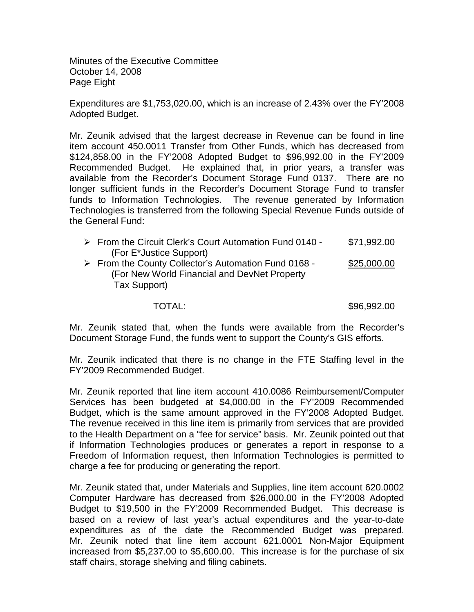Minutes of the Executive Committee October 14, 2008 Page Eight

Expenditures are \$1,753,020.00, which is an increase of 2.43% over the FY'2008 Adopted Budget.

Mr. Zeunik advised that the largest decrease in Revenue can be found in line item account 450.0011 Transfer from Other Funds, which has decreased from \$124,858.00 in the FY'2008 Adopted Budget to \$96,992.00 in the FY'2009 Recommended Budget. He explained that, in prior years, a transfer was available from the Recorder's Document Storage Fund 0137. There are no longer sufficient funds in the Recorder's Document Storage Fund to transfer funds to Information Technologies. The revenue generated by Information Technologies is transferred from the following Special Revenue Funds outside of the General Fund:

| $\triangleright$ From the Circuit Clerk's Court Automation Fund 0140 - | \$71,992.00 |
|------------------------------------------------------------------------|-------------|
| (For E*Justice Support)                                                |             |
| > From the County Collector's Automation Fund 0168 -                   | \$25,000.00 |
| (For New World Financial and DevNet Property)                          |             |
| Tax Support)                                                           |             |
|                                                                        |             |

TOTAL: \$96,992.00

Mr. Zeunik stated that, when the funds were available from the Recorder's Document Storage Fund, the funds went to support the County's GIS efforts.

Mr. Zeunik indicated that there is no change in the FTE Staffing level in the FY'2009 Recommended Budget.

Mr. Zeunik reported that line item account 410.0086 Reimbursement/Computer Services has been budgeted at \$4,000.00 in the FY'2009 Recommended Budget, which is the same amount approved in the FY'2008 Adopted Budget. The revenue received in this line item is primarily from services that are provided to the Health Department on a "fee for service" basis. Mr. Zeunik pointed out that if Information Technologies produces or generates a report in response to a Freedom of Information request, then Information Technologies is permitted to charge a fee for producing or generating the report.

Mr. Zeunik stated that, under Materials and Supplies, line item account 620.0002 Computer Hardware has decreased from \$26,000.00 in the FY'2008 Adopted Budget to \$19,500 in the FY'2009 Recommended Budget. This decrease is based on a review of last year's actual expenditures and the year-to-date expenditures as of the date the Recommended Budget was prepared. Mr. Zeunik noted that line item account 621.0001 Non-Major Equipment increased from \$5,237.00 to \$5,600.00. This increase is for the purchase of six staff chairs, storage shelving and filing cabinets.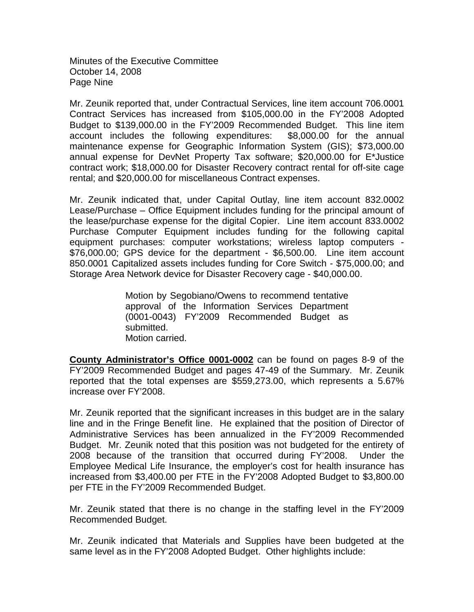Minutes of the Executive Committee October 14, 2008 Page Nine

Mr. Zeunik reported that, under Contractual Services, line item account 706.0001 Contract Services has increased from \$105,000.00 in the FY'2008 Adopted Budget to \$139,000.00 in the FY'2009 Recommended Budget. This line item account includes the following expenditures: \$8,000.00 for the annual maintenance expense for Geographic Information System (GIS); \$73,000.00 annual expense for DevNet Property Tax software; \$20,000.00 for E\*Justice contract work; \$18,000.00 for Disaster Recovery contract rental for off-site cage rental; and \$20,000.00 for miscellaneous Contract expenses.

Mr. Zeunik indicated that, under Capital Outlay, line item account 832.0002 Lease/Purchase – Office Equipment includes funding for the principal amount of the lease/purchase expense for the digital Copier. Line item account 833.0002 Purchase Computer Equipment includes funding for the following capital equipment purchases: computer workstations; wireless laptop computers - \$76,000.00; GPS device for the department - \$6,500.00. Line item account 850.0001 Capitalized assets includes funding for Core Switch - \$75,000.00; and Storage Area Network device for Disaster Recovery cage - \$40,000.00.

> Motion by Segobiano/Owens to recommend tentative approval of the Information Services Department (0001-0043) FY'2009 Recommended Budget as submitted. Motion carried.

**County Administrator's Office 0001-0002** can be found on pages 8-9 of the FY'2009 Recommended Budget and pages 47-49 of the Summary. Mr. Zeunik reported that the total expenses are \$559,273.00, which represents a 5.67% increase over FY'2008.

Mr. Zeunik reported that the significant increases in this budget are in the salary line and in the Fringe Benefit line. He explained that the position of Director of Administrative Services has been annualized in the FY'2009 Recommended Budget. Mr. Zeunik noted that this position was not budgeted for the entirety of 2008 because of the transition that occurred during FY'2008. Under the Employee Medical Life Insurance, the employer's cost for health insurance has increased from \$3,400.00 per FTE in the FY'2008 Adopted Budget to \$3,800.00 per FTE in the FY'2009 Recommended Budget.

Mr. Zeunik stated that there is no change in the staffing level in the FY'2009 Recommended Budget.

Mr. Zeunik indicated that Materials and Supplies have been budgeted at the same level as in the FY'2008 Adopted Budget. Other highlights include: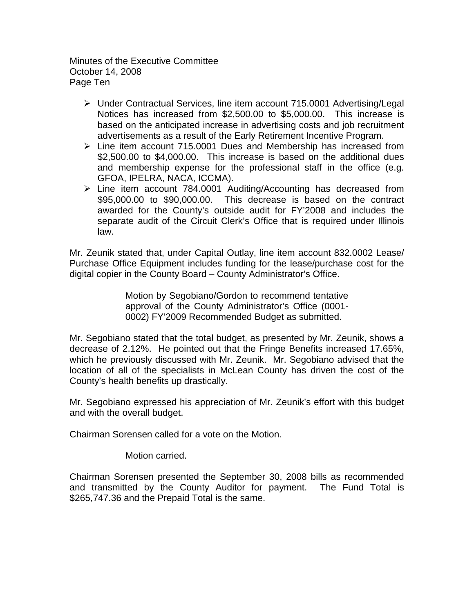Minutes of the Executive Committee October 14, 2008 Page Ten

- Under Contractual Services, line item account 715.0001 Advertising/Legal Notices has increased from \$2,500.00 to \$5,000.00. This increase is based on the anticipated increase in advertising costs and job recruitment advertisements as a result of the Early Retirement Incentive Program.
- $\triangleright$  Line item account 715.0001 Dues and Membership has increased from \$2,500.00 to \$4,000.00. This increase is based on the additional dues and membership expense for the professional staff in the office (e.g. GFOA, IPELRA, NACA, ICCMA).
- Line item account 784.0001 Auditing/Accounting has decreased from \$95,000.00 to \$90,000.00. This decrease is based on the contract awarded for the County's outside audit for FY'2008 and includes the separate audit of the Circuit Clerk's Office that is required under Illinois law.

Mr. Zeunik stated that, under Capital Outlay, line item account 832.0002 Lease/ Purchase Office Equipment includes funding for the lease/purchase cost for the digital copier in the County Board – County Administrator's Office.

> Motion by Segobiano/Gordon to recommend tentative approval of the County Administrator's Office (0001- 0002) FY'2009 Recommended Budget as submitted.

Mr. Segobiano stated that the total budget, as presented by Mr. Zeunik, shows a decrease of 2.12%. He pointed out that the Fringe Benefits increased 17.65%, which he previously discussed with Mr. Zeunik. Mr. Segobiano advised that the location of all of the specialists in McLean County has driven the cost of the County's health benefits up drastically.

Mr. Segobiano expressed his appreciation of Mr. Zeunik's effort with this budget and with the overall budget.

Chairman Sorensen called for a vote on the Motion.

Motion carried.

Chairman Sorensen presented the September 30, 2008 bills as recommended and transmitted by the County Auditor for payment. The Fund Total is \$265,747.36 and the Prepaid Total is the same.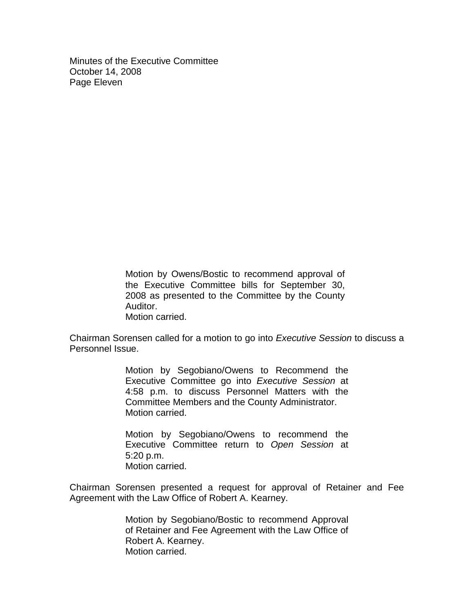Minutes of the Executive Committee October 14, 2008 Page Eleven

> Motion by Owens/Bostic to recommend approval of the Executive Committee bills for September 30, 2008 as presented to the Committee by the County Auditor. Motion carried.

Chairman Sorensen called for a motion to go into *Executive Session* to discuss a Personnel Issue.

> Motion by Segobiano/Owens to Recommend the Executive Committee go into *Executive Session* at 4:58 p.m. to discuss Personnel Matters with the Committee Members and the County Administrator. Motion carried.

> Motion by Segobiano/Owens to recommend the Executive Committee return to *Open Session* at 5:20 p.m. Motion carried.

Chairman Sorensen presented a request for approval of Retainer and Fee Agreement with the Law Office of Robert A. Kearney.

> Motion by Segobiano/Bostic to recommend Approval of Retainer and Fee Agreement with the Law Office of Robert A. Kearney. Motion carried.